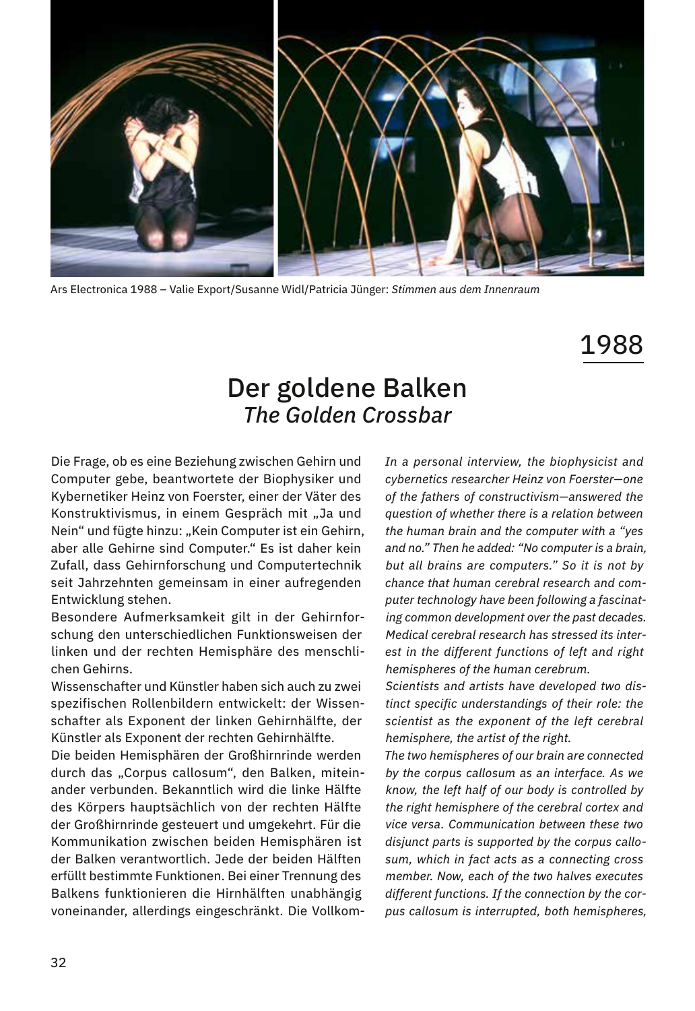

Ars Electronica 1988 – Valie Export/Susanne Widl/Patricia Jünger: *Stimmen aus dem Innenraum*

## 1988

## Der goldene Balken *The Golden Crossbar*

Die Frage, ob es eine Beziehung zwischen Gehirn und Computer gebe, beantwortete der Biophysiker und Kybernetiker Heinz von Foerster, einer der Väter des Konstruktivismus, in einem Gespräch mit "Ja und Nein" und fügte hinzu: "Kein Computer ist ein Gehirn, aber alle Gehirne sind Computer." Es ist daher kein Zufall, dass Gehirnforschung und Computertechnik seit Jahrzehnten gemeinsam in einer aufregenden Entwicklung stehen.

Besondere Aufmerksamkeit gilt in der Gehirnforschung den unterschiedlichen Funktionsweisen der linken und der rechten Hemisphäre des menschlichen Gehirns.

Wissenschafter und Künstler haben sich auch zu zwei spezifischen Rollenbildern entwickelt: der Wissenschafter als Exponent der linken Gehirnhälfte, der Künstler als Exponent der rechten Gehirnhälfte.

Die beiden Hemisphären der Großhirnrinde werden durch das "Corpus callosum", den Balken, miteinander verbunden. Bekanntlich wird die linke Hälfte des Körpers hauptsächlich von der rechten Hälfte der Großhirnrinde gesteuert und umgekehrt. Für die Kommunikation zwischen beiden Hemisphären ist der Balken verantwortlich. Jede der beiden Hälften erfüllt bestimmte Funktionen. Bei einer Trennung des Balkens funktionieren die Hirnhälften unabhängig voneinander, allerdings eingeschränkt. Die Vollkom*In a personal interview, the biophysicist and cybernetics researcher Heinz von Foerster—one of the fathers of constructivism—answered the question of whether there is a relation between the human brain and the computer with a "yes and no." Then he added: "No computer is a brain, but all brains are computers." So it is not by chance that human cerebral research and computer technology have been following a fascinating common development over the past decades. Medical cerebral research has stressed its interest in the different functions of left and right hemispheres of the human cerebrum.* 

*Scientists and artists have developed two distinct specific understandings of their role: the scientist as the exponent of the left cerebral hemisphere, the artist of the right.*

*The two hemispheres of our brain are connected by the corpus callosum as an interface. As we know, the left half of our body is controlled by the right hemisphere of the cerebral cortex and vice versa. Communication between these two disjunct parts is supported by the corpus callosum, which in fact acts as a connecting cross member. Now, each of the two halves executes different functions. If the connection by the corpus callosum is interrupted, both hemispheres,*